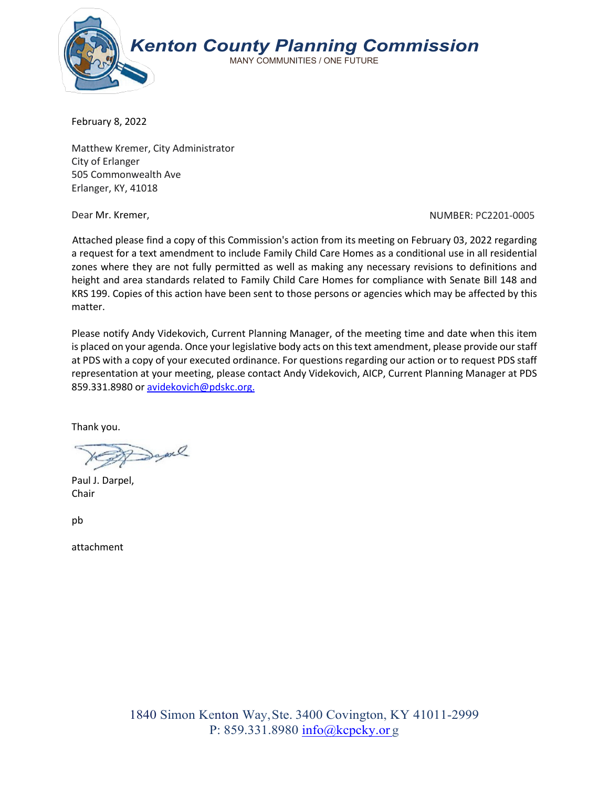

February 8, 2022

Matthew Kremer, City Administrator City of Erlanger 505 Commonwealth Ave Erlanger, KY, 41018

Dear Mr. Kremer, Number: 2001-0005 Number: PC2201-0005

Attached please find a copy of this Commission's action from its meeting on February 03, 2022 regarding a request for a text amendment to include Family Child Care Homes as a conditional use in all residential zones where they are not fully permitted as well as making any necessary revisions to definitions and height and area standards related to Family Child Care Homes for compliance with Senate Bill 148 and KRS 199. Copies of this action have been sent to those persons or agencies which may be affected by this matter.

Please notify Andy Videkovich, Current Planning Manager, of the meeting time and date when this item is placed on your agenda. Once your legislative body acts on this text amendment, please provide our staff at PDS with a copy of your executed ordinance. For questions regarding our action or to request PDS staff representation at your meeting, please contact Andy Videkovich, AICP, Current Planning Manager at PDS 859.331.8980 or [avidekovich@pdskc.org.](mailto:avidekovich@pdskc.org.)

Thank you.

Davil

Paul J. Darpel, Chair

pb

attachment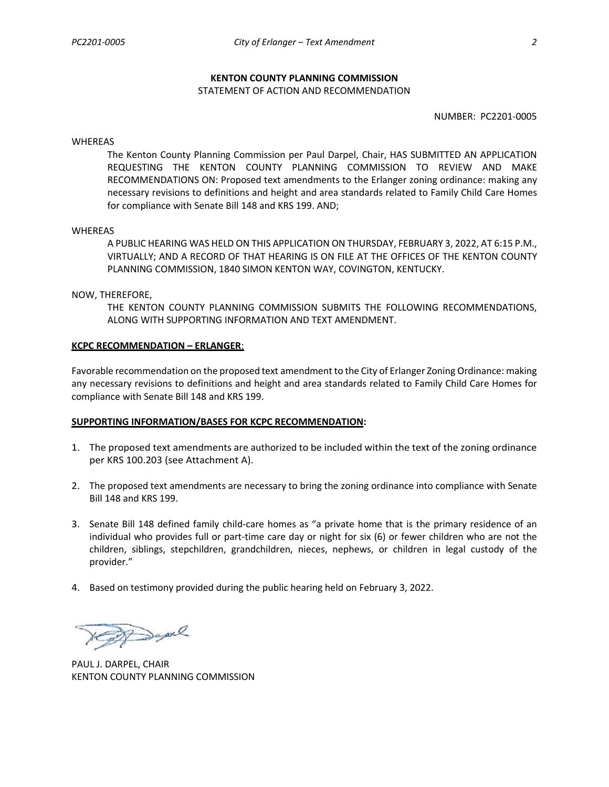### **KENTON COUNTY PLANNING COMMISSION**

#### STATEMENT OF ACTION AND RECOMMENDATION

NUMBER: PC2201-0005

#### WHEREAS

The Kenton County Planning Commission per Paul Darpel, Chair, HAS SUBMITTED AN APPLICATION REQUESTING THE KENTON COUNTY PLANNING COMMISSION TO REVIEW AND MAKE RECOMMENDATIONS ON: Proposed text amendments to the Erlanger zoning ordinance: making any necessary revisions to definitions and height and area standards related to Family Child Care Homes for compliance with Senate Bill 148 and KRS 199. AND;

#### WHEREAS

A PUBLIC HEARING WAS HELD ON THIS APPLICATION ON THURSDAY, FEBRUARY 3, 2022, AT 6:15 P.M., VIRTUALLY; AND A RECORD OF THAT HEARING IS ON FILE AT THE OFFICES OF THE KENTON COUNTY PLANNING COMMISSION, 1840 SIMON KENTON WAY, COVINGTON, KENTUCKY.

### NOW, THEREFORE,

THE KENTON COUNTY PLANNING COMMISSION SUBMITS THE FOLLOWING RECOMMENDATIONS, ALONG WITH SUPPORTING INFORMATION AND TEXT AMENDMENT.

#### **KCPC RECOMMENDATION – ERLANGER**:

Favorable recommendation on the proposed text amendment to the City of Erlanger Zoning Ordinance: making any necessary revisions to definitions and height and area standards related to Family Child Care Homes for compliance with Senate Bill 148 and KRS 199.

#### **SUPPORTING INFORMATION/BASES FOR KCPC RECOMMENDATION:**

- 1. The proposed text amendments are authorized to be included within the text of the zoning ordinance per KRS 100.203 (see Attachment A).
- 2. The proposed text amendments are necessary to bring the zoning ordinance into compliance with Senate Bill 148 and KRS 199.
- 3. Senate Bill 148 defined family child-care homes as "a private home that is the primary residence of an individual who provides full or part-time care day or night for six (6) or fewer children who are not the children, siblings, stepchildren, grandchildren, nieces, nephews, or children in legal custody of the provider."
- 4. Based on testimony provided during the public hearing held on February 3, 2022.

Progre

PAUL J. DARPEL, CHAIR KENTON COUNTY PLANNING COMMISSION